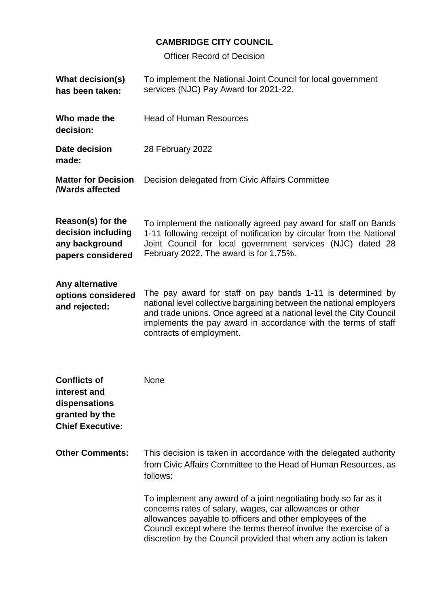## **CAMBRIDGE CITY COUNCIL**

Officer Record of Decision

| <b>What decision(s)</b><br>has been taken:                                                        | To implement the National Joint Council for local government<br>services (NJC) Pay Award for 2021-22.                                                                                                                                                                                                                            |
|---------------------------------------------------------------------------------------------------|----------------------------------------------------------------------------------------------------------------------------------------------------------------------------------------------------------------------------------------------------------------------------------------------------------------------------------|
| Who made the<br>decision:                                                                         | <b>Head of Human Resources</b>                                                                                                                                                                                                                                                                                                   |
| Date decision<br>made:                                                                            | 28 February 2022                                                                                                                                                                                                                                                                                                                 |
| <b>Matter for Decision</b><br><b>/Wards affected</b>                                              | Decision delegated from Civic Affairs Committee                                                                                                                                                                                                                                                                                  |
| Reason(s) for the<br>decision including<br>any background<br>papers considered                    | To implement the nationally agreed pay award for staff on Bands<br>1-11 following receipt of notification by circular from the National<br>Joint Council for local government services (NJC) dated 28<br>February 2022. The award is for 1.75%.                                                                                  |
| Any alternative<br>options considered<br>and rejected:                                            | The pay award for staff on pay bands 1-11 is determined by<br>national level collective bargaining between the national employers<br>and trade unions. Once agreed at a national level the City Council<br>implements the pay award in accordance with the terms of staff<br>contracts of employment.                            |
| <b>Conflicts of</b><br>interest and<br>dispensations<br>granted by the<br><b>Chief Executive:</b> | None                                                                                                                                                                                                                                                                                                                             |
| <b>Other Comments:</b>                                                                            | This decision is taken in accordance with the delegated authority<br>from Civic Affairs Committee to the Head of Human Resources, as<br>follows:                                                                                                                                                                                 |
|                                                                                                   | To implement any award of a joint negotiating body so far as it<br>concerns rates of salary, wages, car allowances or other<br>allowances payable to officers and other employees of the<br>Council except where the terms thereof involve the exercise of a<br>discretion by the Council provided that when any action is taken |